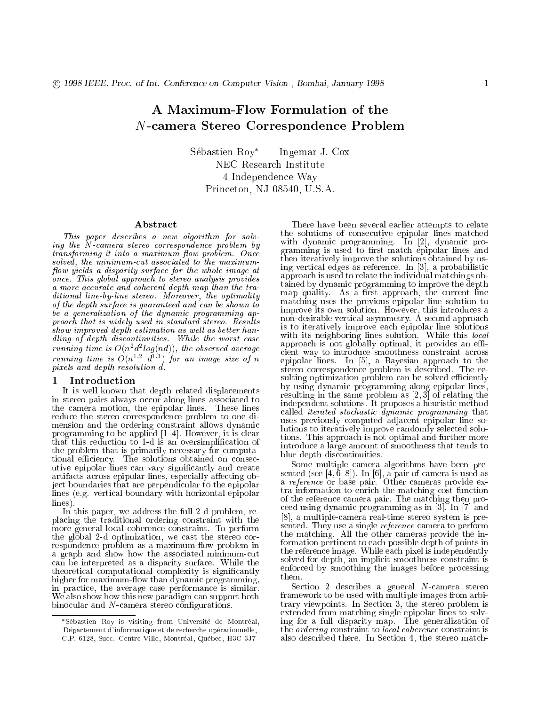# A Maximum-Flow Formulation of the <sup>N</sup>-camera Stereo Correspondence Problem

Sebastien Roy Ingemar J. Cox NEC Research Institute 4 Independence Way Princeton, NJ 08540, U.S.A.

## Abstract

This paper describes <sup>a</sup> new algorithm for solving the N-camera stereo correspondence problem by transforming it into <sup>a</sup> maximumow problem. Once solved, the minimum-cut associated to the maximum ow yields <sup>a</sup> disparity surface for the whole image at once. This global approach to stereo analysis provides a more a more and coherent depth map than the than the than the traditional line-by-line stereo. Moreover, the optimality of the depth surface is guaranteed and can be shown to be <sup>a</sup> generalization of the dynamic programming approach that is widely used in standard stereo. Results show improved depth estimation as wel l as better hand ling of depth discontinuities. While the worst cases running time is  $O(n^2a^2\log(na))$ , the observed average running time is  $O(n^2 - a^2)$  for an image size of n pixels and depth resolution d.

#### Introduction Т.

It is well known that depth related displacements in stereo pairs always occur along lines associated to the camera motion, the epipolar lines. These lines reduce the stereo correspondence problem to one dimension and the ordering constraint allows dynamic programming to be applied  $[1-4]$ . However, it is clear that this reduction to 1-d is an oversimplication of the problem that is primarily necessary for computational efficiency. The solutions obtained on consecutive epipolar lines can vary signicantly and create artifacts across epipolar lines, especially affecting object boundaries that are perpendicular to the epipolar lines (e.g. vertical boundary with horizontal epipolar lines).

In this paper, we address the full 2-d problem, replacing the traditional ordering constraint with the more general local coherence constraint. To perform the global 2-d optimization, we cast the stereo correspondence problem as a maximum-flow problem in a graph and show how the associated minimum-cut can be interpreted as a disparity surface. While the theoretical computational complexity is signicantly higher for maximum-flow than dynamic programming, in practice, the average case performance is similar. We also show how this new paradigm can support both binocular and  $N$ -camera stereo configurations.

There have been several earlier attempts to relate the solutions of consecutive epipolar lines matched with dynamic programming. In [2], dynamic programming is used to first match epipolar lines and then iteratively improve the solutions obtained by using vertical edges as reference. In [3], a probabilistic approach is used to relate the individual matchings obtained by dynamic programming to improve the depth map quality. As a first approach, the current line matching uses the previous epipolar line solution to improve its own solution. However, this introduces a non-desirable vertical asymmetry. A second approach is to iteratively improve each epipolar line solutions with its neighboring lines solution. While the solution approach is not given in provides at provides and the cient way to introduce smoothness constraint across epipolar lines. In [5], a Bayesian approach to the stereo correspondence problem is described. The resulting optimization problem can be solved efficiently by using dynamic programming along epipolar lines, resulting in the same problem as [2, 3] of relating the independent solutions. It proposes a heuristic method called iterated stochastic dynamic programming that uses previously computed adjacent epipolar line solutions to iteratively improve randomly selected solutions. This approach is not optimal and further more introduce a large amount of smoothness that tends to blur depth discontinuities.

Some multiple camera algorithms have been presented (see [4, 6}, fig. 6}, and [6], a pair of camera is used as used as a reference or base pair. Other cameras provide extra information to enrich the matching cost function of the reference camera pair. The matching then proceed using dynamic programming as in [3]. In [7] and [8], a multiple-camera real-time stereo system is presented. They use a single *reference* camera to perform the matching. All the other cameras provide the information pertinent to each possible depth of points in the reference image. While each pixel is independently solved for depth, an implicit smoothness constraint is enforced by smoothing the images before processing them.

 $\mathcal{S}$  describes a general n-camera stereo and  $\mathcal{S}$ framework to be used with multiple images from a set  $\mathbf{r}$ trary viewpoints. In Section 3, the stereo problem is extended from matching single epipolar lines to solving for a function of a function of  $f$  function of  $f$  and  $f$  and  $f$  and  $f$  and  $f$  and  $f$  and  $f$  and  $f$  and  $f$  and  $f$  and  $f$  and  $f$  and  $f$  and  $f$  and  $f$  and  $f$  and  $f$  and  $f$  and  $f$  and  $f$  and  $f$  and the ordering constraint to local coherence constraint is also described there. In Section 4, the stereo match-

Sebastien Roy is visiting from Universite de Montreal, Département d'informatique et de recherche opérationnelle, C.P. 6128, Succ. Centre-Ville, Montreal, Quebec, H3C 3J7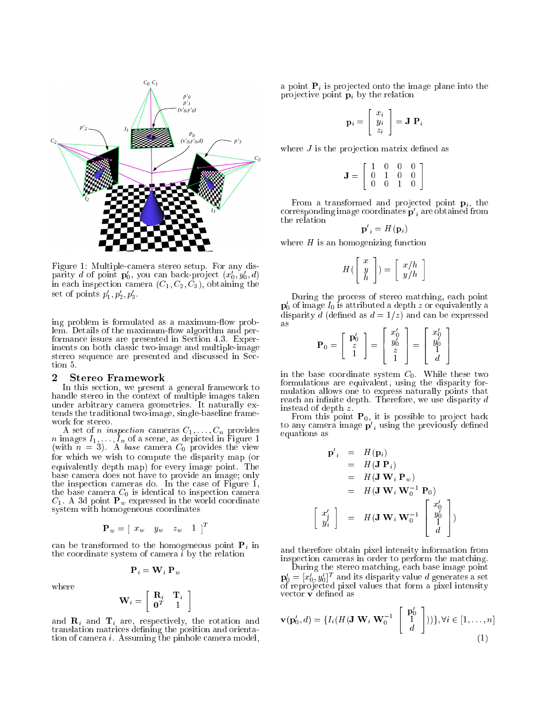

Figure 1: Multiple-camera stereo setup. For any disparity a of point  $\mathbf{p}_0$ , you can back-project  $(x_0, y_0, a)$ in each inspection camera  $(C_1, C_2, C_3)$ , obtaining the set of points  $p_1, p_2, p_3$ .

ing problem is formulated as a maximum-flow problem. Details of the maximum-flow algorithm and performance issues are presented in Section 4.3. Experiments on both classic two-image and multiple-image stereo sequence are presented and discussed in Section 5.

#### 2Stereo Framework

In this section, we present a general framework to handle stereo in the context of multiple images taken under arbitrary camera geometries. It naturally extends the traditional two-image, single-baseline frame-

A set of inspection cameras C  $_1,\dots,$   $_{n}$  provides  $\infty$  $\mathbf{r}$  is in a scene, as a scene of a scene in  $\mathbf{r}$  and  $\mathbf{r}$ (with a set of  $\mathcal{S}_1$ ). A base camera C  $\mathcal{S}_0$  provides the view  $\mathcal{S}_2$ for which we wish to compute the disparity map (or equivalently depth map) for every image point. The map base camera does not have to provide an image; only the inspection cameras do. In the case of Figure 1,  $\sim$  base can expect inspection camera  $\sim$  inspection camera  $\sim$  $C_1$ . A 3d point  $P_w$  expressed in the world coordinate system with homogeneous coordinates

$$
\mathbf{P}_w = \left[ \begin{array}{ccc} x_w & y_w & z_w & 1 \end{array} \right]^T
$$

can be transformed to the homogeneous point  $P_i$  in the coordinate system of camera i by the relation

$$
\mathbf{P}_i = \mathbf{W}_i \; \mathbf{P}_w
$$

where

$$
\mathbf{W}_i = \left[ \begin{array}{cc} \mathbf{R}_i & \mathbf{T}_i \\ \mathbf{0}^T & 1 \end{array} \right]
$$

and  $\mathbf{R}_i$  and  $\mathbf{T}_i$  are, respectively, the rotation and translation matrices defining the position and orientation of camera i. Assuming the pinhole camera model, a point  $P_i$  is projected onto the image plane into the projective point  $\mathbf{p}_i$  by the relation

$$
\mathbf{p}_i = \left[ \begin{array}{c} x_i \\ y_i \\ z_i \end{array} \right] = \mathbf{J} \; \mathbf{P}_i
$$

where  $J$  is the projection matrix defined as

$$
\mathbf{J} = \left[ \begin{array}{cccc} 1 & 0 & 0 & 0 \\ 0 & 1 & 0 & 0 \\ 0 & 0 & 1 & 0 \end{array} \right]
$$

From a transformed and projected point  $\mathbf{p}_i$ , the corresponding image coordinates  $\mathbf{p}_{[i]}$  are obtained from the relation

$$
\mathbf{p'}_i = H(\mathbf{p}_i)
$$

where  $H$  is an homogenizing function

$$
H(\left[\begin{array}{c} x \\ y \\ h \end{array}\right]) = \left[\begin{array}{c} x/h \\ y/h \end{array}\right]
$$

During the process of stereo matching, each point  $\mathbf{p}_0$  or image  $\mathbf{\mathit{I}}_0$  is attributed a depth  $z$  or equivalently a disparity d (defined as  $d = 1/z$ ) and can be expressed as  $-$ 33 July 19 <sup>2</sup> - 1

$$
\mathbf{P}_0 = \left[ \begin{array}{c} \mathbf{p}'_0 \\ z \\ 1 \end{array} \right] = \left[ \begin{array}{c} x'_0 \\ y'_0 \\ z \\ 1 \end{array} \right] = \left[ \begin{array}{c} x'_0 \\ y'_0 \\ 1 \\ d \end{array} \right]
$$

in the base coordinate system  $C_0$ . While these two formulations are equivalent, using the disparity formulation allows one to express naturally points that reach an infinite depth. Therefore, we use disparity  $d$ instead of depth z.

From this point  $P_0$ , it is possible to project back to any camera image  $\mathbf{p}$   $_i$  using the previously defined equations as

$$
\begin{aligned}\n\mathbf{p}'_i &= H(\mathbf{p}_i) \\
&= H(\mathbf{J} \ \mathbf{P}_i) \\
&= H(\mathbf{J} \ \mathbf{W}_i \ \mathbf{P}_w) \\
&= H(\mathbf{J} \ \mathbf{W}_i \ \mathbf{W}_0^{-1} \ \mathbf{P}_0) \\
&\begin{bmatrix} x'_i \\ y'_i \end{bmatrix} &= H(\mathbf{J} \ \mathbf{W}_i \ \mathbf{W}_0^{-1} \begin{bmatrix} x'_0 \\ y'_0 \\ 1 \\ d \end{bmatrix}\n\end{aligned}
$$

and therefore obtain pixel intensity information from inspection cameras in order to perform the matching.

During the stereo matching, each base image point  ${\bf p}_0 = [x_0, y_0]$  - and its disparity value  $a$  generates a set of repro jected pixel values that form a pixel intensity vector **v** defined as

$$
\mathbf{v}(\mathbf{p}'_0, d) = \{I_i(H(\mathbf{J} \ \mathbf{W}_i \ \mathbf{W}_0^{-1} \begin{bmatrix} \ \mathbf{p}'_0 \\ 1 \\ d \end{bmatrix}))\}, \forall i \in [1, \dots, n]
$$
\n(1)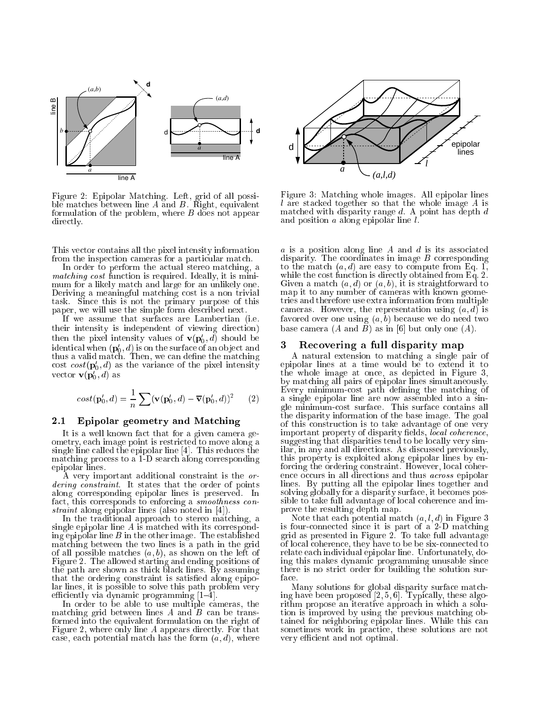

Figure 2: Epipolar Matching. Left, grid of all possible matches between line  $A$  and  $B$ . Right, equivalent formulation of the problem, where  $B$  does not appear directly.

This vector contains all the pixel intensity information from the inspection cameras for a particular match.

In order to perform the actual stereo matching, a matching cost function is required. In an interest  $\sim$ mum for a likely match and large for an unlikely one. Deriving a meaningful matching cost is a non trivial task. Since this is not the primary purpose of this paper, we will use the simple form described next.

If we assume that surfaces are Lambertian (i.e. their intensity is independent of viewing direction) then the pixel intensity values of  $\mathbf{v}(\mathbf{p}_0, a)$  should be identical when  $(\mathbf{p}_{0},a)$  is on the surface of an object and thus a valid match. Then, we can define the match match. Then, we can define the match  $\mathbf{M}$ cost  $cost(\mathbf{p}_0, a)$  as the variance of the pixel intensity vector  $\mathbf{v}(\mathbf{p}_0, u)$  as

$$
cost(\mathbf{p}'_0, d) = \frac{1}{n} \sum (\mathbf{v}(\mathbf{p}'_0, d) - \overline{\mathbf{v}}(\mathbf{p}'_0, d))^2
$$
 (2)

## 2.1 Epipolar geometry and Matching

It is a well known fact that for a given camera geometry, each image point is restricted to move along a single line called the epipolar line [4]. This reduces the matching process to a 1-D search along corresponding epipolar lines.

A very important additional constraint is the ordering constraint. It states that the order of points along corresponding epipolar lines is preserved. In fact, this corresponds to enforcing a smoothness constraint along epipolar lines (also noted in [4]).

In the traditional approach to stereo matching, a single epipolar line  $A$  is matched with its corresponding epipolar line  $B$  in the other image. The established matching between the two lines is a path in the grid of all possible matches  $(a, b)$ , as shown on the left of Figure 2. The allowed starting and ending positions of the path are shown as thick black lines. By assuming that the ordering constraint is satisfied along epipolar lines, it is possible to solve this path problem very efficiently via dynamic programming  $[1-\overline{4}]$ .

In order to be able to use multiple cameras, the matching grid between lines  $A$  and  $B$  can be transformed into the equivalent formulation on the right of Figure 2, where only line A appears directly. For that case, each potential match has the form  $(a, d)$ , where



Figure 3: Matching whole images. All epipolar lines l are stacked together so that the whole image A is matched with disparity range  $d$ . A point has depth  $d$ and position a along epipolar line l.

 $a$  is a position along line  $A$  and  $d$  is its associated disparity. The coordinates in image  $B$  corresponding to the match (a; d) are easy to compute from Eq. 1, and 1, and 1, and 1, are easy to compute from Eq. 1, and 1, and 1, and 1, and 1, and 1, and 1, and 1, and 1, and 1, and 1, and 1, and 1, and 1, and 1, and 1, and 1, and while the cost function is directly obtained from  $\mathcal{L}$ Given a match  $(a, d)$  or  $(a, b)$ , it is straightforward to map it to any number of cameras with known geometries and therefore use extra information from multiple cameras. However, the representation using  $(a, d)$  is favored over one using  $(a, b)$  because we do need two base camera  $(A \text{ and } B)$  as in [6] but only one  $(A)$ .

#### 3Recovering <sup>a</sup> full disparity map

A natural extension to matching a single pair of epipolar lines at a time would be to extend it to the whole image at once, as depicted in Figure 3, by matching all pairs of epipolar lines simultaneously. Every minimum-cost path dening the matching of a single epipolar line are now assembled into a single minimum-cost surface. This surface contains all the disparity information of the base image. The goal of this construction is to take advantage of one very important property of disparity fields, *local coherence*, suggesting that disparities tend to be locally very similar, in any and all directions. As discussed previously, this property is exploited along epipolar lines by enforcing the ordering constraint. However, local coherence occurs in all directions and thus across epipolar lines. By putting all the epipolar lines together and solving globally for a disparity surface, it becomes possible to take full advantage of local coherence and improve the resulting depth map.

 $N$  is that each potential match (a; l; d) in Figure 3. In Figure 3. In Figure 3. In Figure 3. In Figure 3. In Figure 3. In Figure 3. In Figure 3. In Figure 3. In Figure 3. In Figure 3. In Figure 3. In Figure 3. In Figure is four-connected since it is part of a 2-D matching  $\alpha$  $\mathcal{L}$ of local coherence, they have to be be six-connected to relate each individual epipolar line. Unfortunately, doing this makes dynamic programming unusable since there is no strict order for building the solution surface.

Many solutions for global disparity surface matching have been proposed [2, 5, 6]. Typically, these algorithm propose an iterative approach in which a solution is improved by using the previous matching obtained for neighboring epipolar lines. While this can sometimes work in practice, these solutions are not very efficient and not optimal.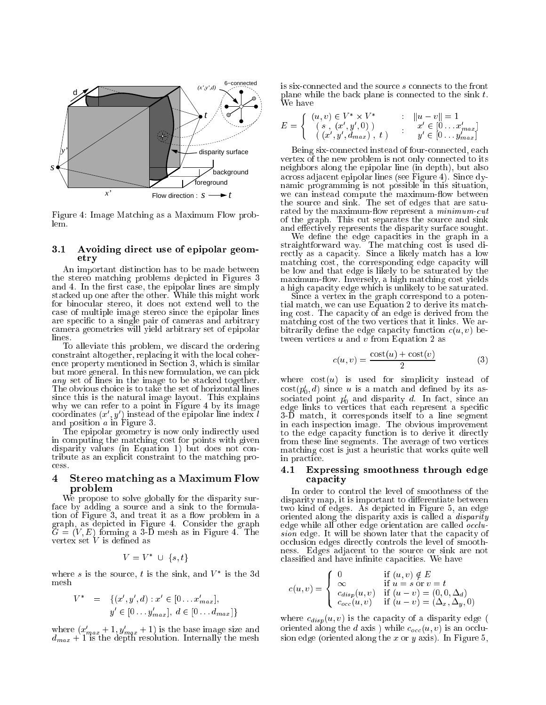

Figure 4: Image Matching as a Maximum Flow prob $len$ 

### $3.1$ Avoiding direct use of epipolar geometry

An important distinction has to be made between the stereo matching problems depicted in Figures 3 and a communication of the epipolar lines are simply are simply stacked up one after the other. While this might work for binocular stereo, it does not extend well to the case of multiple image stereo since the epipolar lines are specic to a single pair of cameras and arbitrary camera geometries will yield arbitrary set of epipolar lines.

To alleviate this problem, we discard the ordering constraint altogether, replacing it with the local coherence property mentioned in Section 3, which is similar but more general. In this new formulation, we can pick any set of lines in the image to be stacked together. The obvious choice is to take the set of horizontal lines since this is the natural image layout. This explains why we can refer to a point in Figure 4 by its image coordinates  $(x, y)$  instead of the epipolar line index  $\iota$ and position a in Figure 3.

The epipolar geometry is now only indirectly used in computing the matching cost for points with given disparity values (in Equation 1) but does not contribute as an explicit constraint to the matching process.

### 4 Stereo matching as <sup>a</sup> Maximum Flow problem

We propose to solve globally for the disparity surface by adding a source and a sink to the formulation of Figure  $3$ , and treat it as a flow problem in a graph, as depicted in Figure 4. Consider the graph  $\widetilde{G} = (V, E)$  forming a 3-D mesh as in Figure 4. The vertex set V is defined as

$$
V = V^* \cup \{s, t\}
$$

where s is the source,  $\iota$  is the sink, and  $V$  is the 3d mesh

$$
V^* = \{(x', y', d) : x' \in [0 \dots x'_{max}],
$$
  

$$
y' \in [0 \dots y'_{max}], d \in [0 \dots d_{max}]\}
$$

where  $(x_{max} + 1, y_{max} + 1)$  is the base image size and  $\cdots$  internally the depth resolution. Internally the mesh resolution  $\cdots$  is six-connected and the source s connects to the front plane while the back plane is connected to the sink  $t$ . We have

$$
E = \left\{ \begin{array}{rcl} (u, v) \in V^* \times V^* & : & \|u - v\| = 1 \\ (s \ , \ (x', y', 0)) & & x' \in [0 \dots x'_{max}] \\ (x', y', d_{max}) \ , \ t & ) & y' \in [0 \dots y'_{max}] \end{array} \right.
$$

Being six-connected instead of four-connected, each vertex of the new problem is not only connected to its neighbors along the epipolar line (in depth), but also across adjacent epipolar lines (see Figure 4). Since dynamic programming is not possible in this situation, we can instead compute the maximum-flow between the source and sink. The set of edges that are saturated by the maximum-flow represent a *minimum-cut* of the graph. This cut separates the source and sink and effectively represents the disparity surface sought.

We define the edge capacities in the graph in a strating way. The matching cost is used different way. The matching cost is used different way. The matching cost is used different way. The matching cost is used of  $\mathcal{L}$ rectly and a capacity. Since a match is matched match of the  $\cdots$ matching cost, the corresponding edge capacity will be low and that edge is likely to be saturated by the maximum-flow. Inversely, a high matching cost yields a high capacity edge which is unlikely to be saturated.

Since a vertex in the graph correspond to a potential match, we can use Equation 2 to derive its matching cost. The capacity of an edge is derived from the matching cost of the two vertices that it links. We arbitrarily define the edge capacity function  $c(u, v)$  between vertices  $u$  and  $v$  from Equation 2 as

$$
c(u,v) = \frac{\cos(u) + \cos(v)}{2} \tag{3}
$$

where  $cost(u)$  is used for simplicity instead of  $\cos(p_0, a)$  since u is a match and defined by its associated point  $p_0$  and disparity  $a$ . In fact, since an edge links to vertices that each represent a specic 3-D match, it corresponds itself to a line segment in each inspection image. The obvious improvement to the edge capacity function is to derive it directly from these lines segments. The average of two vertices matching cost is just a heuristic that works quite well in practice.

### 4.1 Expressing smoothness through edge capacity

disparity map, it is important to differentiate between two kind of edges. As depicted in Figure 5, an edge oriented along the disparity axis is called a *disparity* edge while all other edge orientation are called *occlu*sion edge. It will be shown later that the capacity of occlusion edges directly controls the level of smoothness. Edges adjacent to the source or sink are not classified and have infinite capacities. We have

$$
c(u,v) = \begin{cases} 0 & \text{if } (u,v) \notin E \\ \infty & \text{if } u = s \text{ or } v = t \\ c_{disp}(u,v) & \text{if } (u-v) = (0,0,\Delta_d) \\ c_{occ}(u,v) & \text{if } (u-v) = (\Delta_x, \Delta_y, 0) \end{cases}
$$

where  $c_{disp}(u, v)$  is the capacity of a disparity edge ( oriented along the d axis) while  $c_{occ}(u, v)$  is an occlusion edge (oriented along the x or y axis). In Figure 5,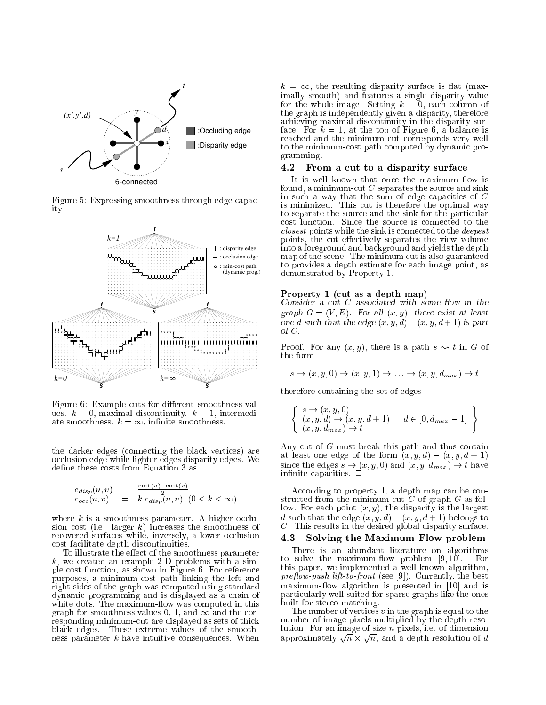

Figure 5: Expressing smoothness through edge capacity.



Figure 6: Example cuts for different smoothness values.  $k = 0$ , maximal discontinuity.  $k = 1$ , intermediate smoothness.  $k = \infty$ , infinite smoothness.

the data connecting the black vertices of  $\mathcal{C}$ occlusion edge while lighter edges disparity edges. We define these costs from Equation 3 as

$$
c_{disp}(u, v) = \frac{\cos(u) + \cos(v)}{2}
$$
  
\n
$$
c_{occ}(u, v) = k c_{disp}(u, v) \quad (0 \le k \le \infty)
$$

where  $k$  is a smoothness parameter. A higher occlusion cost (i.e. larger  $k$ ) increases the smoothness of recovered surfaces while, inversely, a lower occlusion cost facilitate depth discontinuities.

To illustrate the effect of the smoothness parameter  $k$ , we created an example 2-D problems with a simple cost function, as shown in Figure 6. For reference purposes, a minimum-cost path linking the left and right sides of the graph was computed using standard dynamic programming and is displayed as a chain of white dots. The maximum-flow was computed in this graph for smoothness values 0, 1, and  $\infty$  and the corresponding minimum-cut are displayed as sets of thick black edges. These extreme values of the smoothness parameter  $k$  have intuitive consequences. When  $k = \infty$ , the resulting disparity surface is flat (maximally smooth) and features a single disparity value for the whole image. Setting  $k = 0$ , each column of the graph is independently given a disparity, therefore achieving maximal discontinuity in the disparity surface. For  $k = 1$ , at the top of Figure 6, a balance is reached and the minimum-cut corresponds very well to the minimum-cost path computed by dynamic programming.

## 4.2 From a cut to a disparity surface

It is well known that once the maximum flow is found, a minimum-cut  $C$  separates the source and sink in such a way that the sum of edge capacities of C is minimized. This minimized is the optimal way of the optimal way of the optimal way of the optimal way of the optimal way of the optimal way of the optimal way of the optimal way of the optimal way of the optimal way of to separate the source and the sink for the particular cost function. Since the source is connected to the closest points while the sink is connected to the deepest  $\sim$ points, the cut effectively separates the view volume into a foreground and background and yields the depth map of the scene. The minimum cut is also guaranteed to provides a depth estimate for each image point, as demonstrated by Property 1.

## Property <sup>1</sup> (cut as <sup>a</sup> depth map)

communication and consider a cut consider with some consider  $\mathcal{A}$  = (V  $\mathcal{A}$  ). For all  $\mathcal{A}$  , we have existent at least at least at least at least at least at least at least at least at least at least at least at least at least at least at least at least at least at lea  $\sim$  one definition that the edge (x; y; y; y; y; y; and  $\sim$  1) is particle.

Proof. For any  $(x, y)$ , there is a path  $s \sim t$  in G of the form

$$
s \to (x, y, 0) \to (x, y, 1) \to \dots \to (x, y, d_{max}) \to t
$$

therefore containing the set of edges

$$
\left\{\n \begin{array}{l}\ns \to (x, y, 0) \\
(x, y, d) \to (x, y, d + 1) \\
(x, y, d_{max}) \to t\n\end{array}\n\right.\n\left.\n\left.\n\begin{array}{l}\n d \in [0, d_{max} - 1] \\
 d \in [0, d_{max}\n\end{array}\n\right\}
$$

Any cut of G must break this path and thus contain at least one edge of the form (x; y;  $\alpha$ ) (x; y; a)  $\alpha$  +  $\beta$ since the edges s  $\{x_i, y_j\}$  of  $\{x_i, y_j\}$  and  $\{x_i, y_j\}$  . The edge  $\{x_i, y_j\}$ innite capacities. <sup>2</sup>

According to property 1, a depth map can be constructed from the minimum-cut  $C$  of graph  $G$  as follow. For each point  $(x, y)$ , the disparity is the largest  $\alpha$  such that the edge (x; y;  $\alpha$ )  $\alpha$ ; d)  $\alpha$  + 1) belongs to C. This results in the desired global disparity surface.

## 4.3 Solving the Maximum Flow problem

There is an abundant literature on algorithms to solve the maximum-flow problem  $[9, 10]$ . For this paper, we implemented a well known algorithm, pre
ow-push lift-to-front (see [9]). Currently, the best maximumow algorithm is presented in [10] and is particularly well suited for sparse graphs like the ones built for stereo matching.

The number of vertices  $v$  in the graph is equal to the number of image pixels multiplied by the depth resoapproximately  $\sqrt{n} \times \sqrt{n}$ , and a depth resolution of d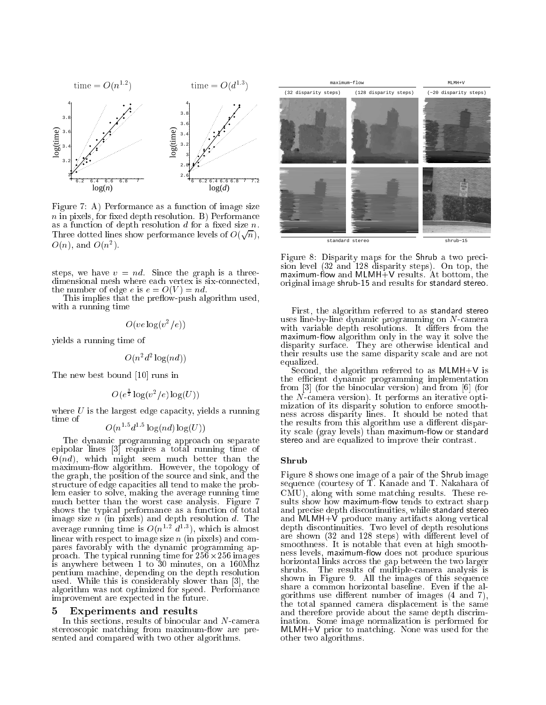

Figure 7: A) Performance as a function of image size  $n$  in pixels, for fixed depth resolution. B) Performance as a function of depth resolution  $d$  for a fixed size  $n$ . Three dotted lines show performance levels of  $O(\sqrt{n}),$  $O(n)$ , and  $O(n<sup>2</sup>)$ .

steps, we have  $v = nd$ . Since the graph is a threedimensional mesh where each vertex is six-connected, the number of edge e is  $e = O(V) = nd$ .

This implies that the preflow-push algorithm used, with a running time

$$
O(ve \log(v^2/e))
$$

yields a running time of

$$
O(n^2d^2\log(nd))
$$

The new best bound [10] runs in

$$
O(e^{\frac{3}{2}}\log(v^2/e)\log(U))
$$

where  $U$  is the largest edge capacity, yields a running time of  $1.5 + 1.5 +$  $\sim$   $\sim$   $\sim$   $\sim$ 

$$
O(n^{1.5}d^{1.5}\log(nd)\log(U))
$$

The dynamic programming approach on separate epipolar lines [3] requires a total running time of -(nd), which might seem much better than the maximum-flow algorithm. However, the topology of the graph, the position of the source and sink, and the structure of edge capacities all tend to make the problem easier to solve, making the average running time much better than the worst case analysis. Figure 7 shows the typical performance as a function of total image size  $n$  (in pixels) and depth resolution d. The average running time is  $O(n-a)$ , which is almost linear with respect to image size n (in pixels) and compares favorably with the dynamic programming approach. The typical running time for 256-256 images is anywhere between 1 to 30 minutes, on a 160Mhz pentium machine, depending on the depth resolution used. While this is considerably slower than [3], the algorithm was not optimized for speed. Performance improvement are expected in the future.

#### Experiments and results 5  $\overline{\phantom{0}}$

In this sections, results of binocular and N-camera stereoscopic matching from maximum-flow are presented and compared with two other algorithms.



Figure 8: Disparity maps for the Shrub a two precision level (32 and 128 disparity steps). On top, the own and music the matrix of the Maximum-View of the property of the substitution of the substitution of the substitution of the substitution of the substitution of the substitution of the substitution of the substitution o original image shrub-15 and results for standard stereo.

First, the algorithm referred to as standard stereo uses line-by-line dynamic programming on N-camera with variable depth resolutions. It diesel the solutions of the solutions of the solutions of the solutions of maximumow algorithm only in the way it solve the disparity surface. They are otherwise identical and their results use the same disparity scale and are not equalized.

Second, the algorithm referred to as MLMH+V is the efficient dynamic programming implementation from [3] (for the binocular version) and from [6] (for the N-camera version). It performs an iterative optimization of its disparity solution to enforce smoothness across disparity lines. It should be noted that the results from this algorithm use a different disparity scale (gray levels) than maximum-flow or standard stereo and are equalized to improve their contrast.

## Shrub

Figure 8 shows one image of a pair of the Shrub image sequence (courtesy of T. Kanade and T. Nakahara of CMU), along with some matching results. These results show how maximum-flow tends to extract sharp and precise depth discontinuities, while standard stereo and MLMH+V produce many artifacts along vertical depth discontinuities. Two level of depth resolutions are shown (32 and 128 steps) with different level of smoothness. It is notable that even at high smoothness. It is not at high smoothness. It is not at high smooth oos as a soon, maximum-maximaal as a sport produce spurious spurious horizontal links across the gap between the two larger shrubs. The results of multiple-camera analysis is shown in Figure 9. All the images of this sequence share a common horizontal baseline. Even if the algorithms use different number of images  $(4 \text{ and } 7)$ , the total spanned camera displacement is the same and therefore provide about the same depth discrimination. Some image normalization is performed for  $M$  prior to matching. None was used for the matching. None was used for the theorem was used for the theorem was used for the theorem was used for the theorem was used for the theorem was used for the theorem was used fo other two algorithms.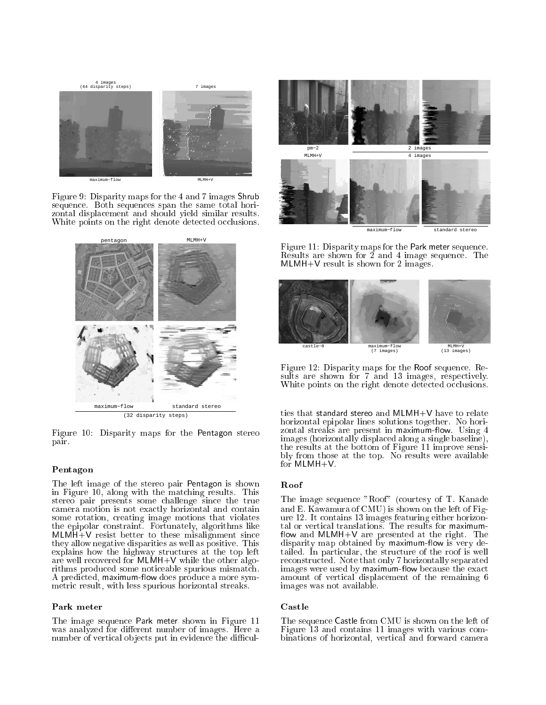

Figure 9: Disparity maps for the 4 and 7 images Shrub sequence. Both sequences span the same total horizontal displacement and should yield similar results. White points on the right denote detected occlusions.



Figure 10: Disparity maps for the Pentagon stereo pair.

## Pentagon

The left image of the stereo pair Pentagon is shown in Figure 10, along with the matching results. This stereo pair presents some challenge since the true camera motion is not exactly horizontal and contain some rotation, creating image motions that violates the epipolar constraint. Fortunately, algorithms like MLMH+V resist better to these misalignment since they allow negative disparities as well as positive. This explains how the highway structures at the top left are well recovered for MLMH+V while the other algorithms produced some noticeable spurious mismatch. A predicted, maximum-flow does produce a more symmetric result, with less spurious horizontal streaks.

The image sequence Park meter shown in Figure 11 was analyzed for different number of images. Here a number of vertical objects put in evidence the difficul-



mum−flow standard ster

Figure 11: Disparity maps for the Park meter sequence. Results are shown for 2 and 4 image sequence. The  $\mathcal{M}$  is shown for 2 images. The 2 images is shown for 2 images.



Figure 12: Disparity maps for the Roof sequence. Results are shown for 7 and 13 images, respectively. White points on the right denote detected occlusions.

ties that standard stereo and MLMH+V have to relate horizontal epipolar lines solutions together. No horizontal streaks are present in maximum-flow. Using 4 images (horizontally displaced along a single baseline), the results at the bottom of Figure 11 improve sensibly from those at the top. No results were available for MLMH+V.

The image sequence "Roof" (courtesy of T. Kanade and E. Kawamura of CMU) is shown on the left of Fig- $\mathbf{12}$ . It contains 13 images for  $\mathbf{12}$ own and MLMH+V are presented at the right. The right  $\alpha$ disparity map obtained by maximum-flow is very detailed. In particular, the structure of the roof is well reconstructed. Note that only 7 horizontally separated images were used by maximum-flow because the exact amount of vertical displacement of the remaining 6 images was not available.

The sequence Castle from CMU is shown on the left of Figure 13 and contains 11 images with various combinations of horizontal, vertical and forward camera